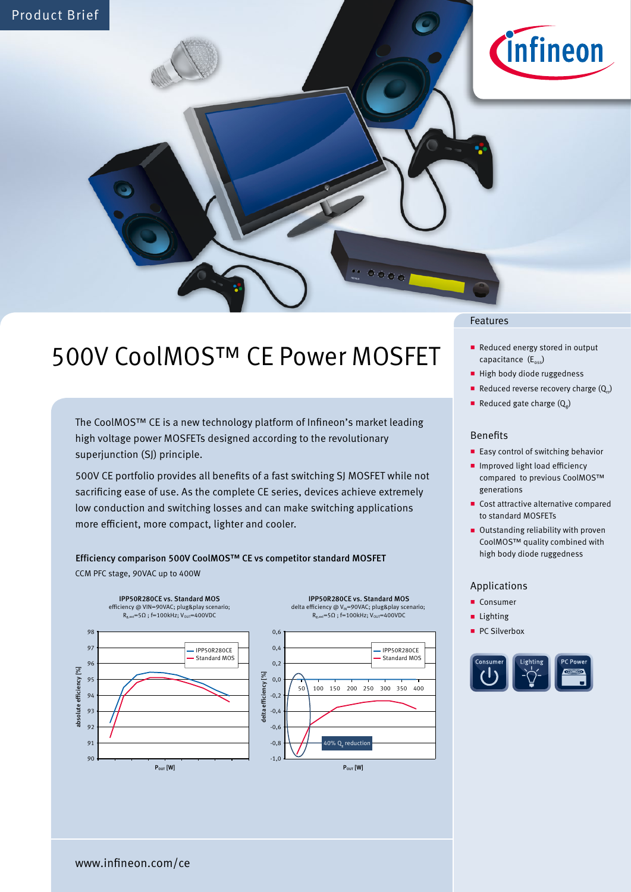

# 500V CoolMOS™ CE Power MOSFET

The CoolMOS™ CE is a new technology platform of Infineon's market leading high voltage power MOSFETs designed according to the revolutionary superjunction (SJ) principle.

500V CE portfolio provides all benefits of a fast switching SJ MOSFET while not sacrificing ease of use. As the complete CE series, devices achieve extremely low conduction and switching losses and can make switching applications more efficient, more compact, lighter and cooler.

# Efficiency comparison 500V CoolMOS™ CE vs competitor standard MOSFET

CCM PFC stage, 90VAC up to 400W





 $\sigma_{\alpha\alpha\sigma}$ 



### Features

- Reduced energy stored in output capacitance  $(E_{osc})$
- High body diode ruggedness
- Reduced reverse recovery charge  $(Q_{r})$
- Reduced gate charge  $(Q<sub>a</sub>)$

### Benefits

- **Easy control of switching behavior**
- **Improved light load efficiency** compared to previous CoolMOS™ generations
- Cost attractive alternative compared to standard MOSFETs
- Outstanding reliability with proven CoolMOS™ quality combined with high body diode ruggedness

## Applications

- Consumer
- **Lighting**
- PC Silverbox